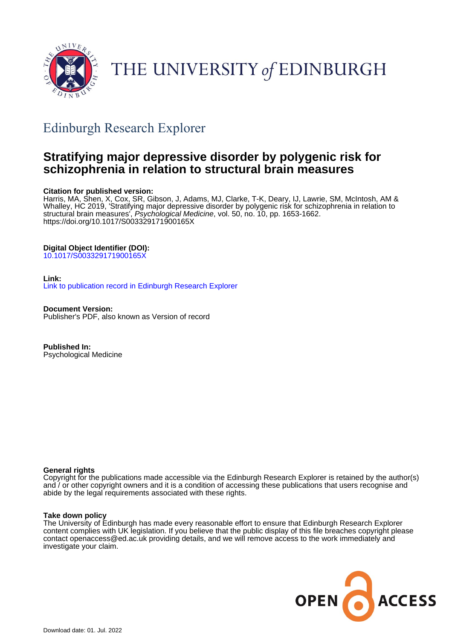

# THE UNIVERSITY of EDINBURGH

## Edinburgh Research Explorer

## **Stratifying major depressive disorder by polygenic risk for schizophrenia in relation to structural brain measures**

## **Citation for published version:**

Harris, MA, Shen, X, Cox, SR, Gibson, J, Adams, MJ, Clarke, T-K, Deary, IJ, Lawrie, SM, McIntosh, AM & Whalley, HC 2019, 'Stratifying major depressive disorder by polygenic risk for schizophrenia in relation to structural brain measures', Psychological Medicine, vol. 50, no. 10, pp. 1653-1662. <https://doi.org/10.1017/S003329171900165X>

## **Digital Object Identifier (DOI):**

[10.1017/S003329171900165X](https://doi.org/10.1017/S003329171900165X)

## **Link:**

[Link to publication record in Edinburgh Research Explorer](https://www.research.ed.ac.uk/en/publications/5d8e2689-6ace-4d87-9c6d-ccde826121de)

**Document Version:** Publisher's PDF, also known as Version of record

**Published In:** Psychological Medicine

## **General rights**

Copyright for the publications made accessible via the Edinburgh Research Explorer is retained by the author(s) and / or other copyright owners and it is a condition of accessing these publications that users recognise and abide by the legal requirements associated with these rights.

### **Take down policy**

The University of Edinburgh has made every reasonable effort to ensure that Edinburgh Research Explorer content complies with UK legislation. If you believe that the public display of this file breaches copyright please contact openaccess@ed.ac.uk providing details, and we will remove access to the work immediately and investigate your claim.

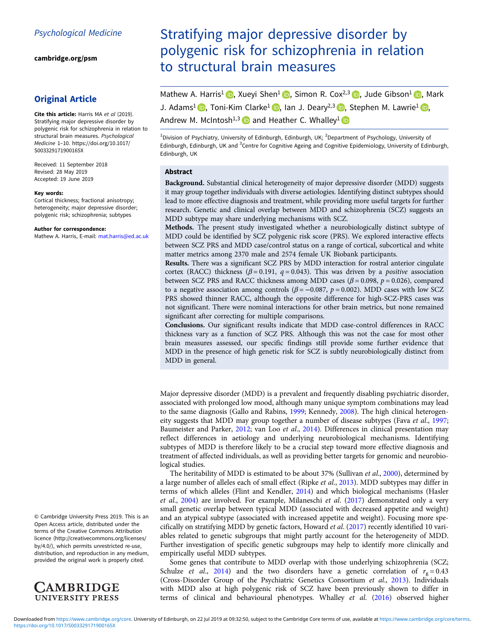[cambridge.org/psm](https://www.cambridge.org/psm)

## Original Article

Cite this article: Harris MA et al (2019). Stratifying major depressive disorder by polygenic risk for schizophrenia in relation to structural brain measures. Psychological Medicine 1–10. [https://doi.org/10.1017/](https://doi.org/10.1017/S003329171900165X) [S003329171900165X](https://doi.org/10.1017/S003329171900165X)

Received: 11 September 2018 Revised: 28 May 2019 Accepted: 19 June 2019

#### Key words:

Cortical thickness; fractional anisotropy; heterogeneity; major depressive disorder; polygenic risk; schizophrenia; subtypes

#### Author for correspondence:

Mathew A. Harris, E-mail: [mat.harris@ed.ac.uk](mailto:mat.harris@ed.ac.uk)

© Cambridge University Press 2019. This is an Open Access article, distributed under the terms of the Creative Commons Attribution licence (http://creativecommons.org/licenses/ by/4.0/), which permits unrestricted re-use, distribution, and reproduction in any medium, provided the original work is properly cited.



## Stratifying major depressive disorder by polygenic risk for schizophrenia in relation to structural brain measures

Mathew A. Harris<sup>1</sup> **D**, Xueyi Shen<sup>1</sup> **D**, Simon R. Cox<sup>2,3</sup> **D**, Jude Gibson<sup>1</sup> **D**, Mark J. Adams<sup>1</sup> **(b**[,](https://orcid.org/0000-0002-1733-263X) Toni-Kim Clarke<sup>1</sup> **b**, Ian J. Deary<sup>2,3</sup> **b**, Stephen M. Lawrie<sup>1</sup> **b**,

Andrew M. McIntosh<sup>1,3</sup> and Heather C. Whalley<sup>1</sup> **D** 

 $^1$ Division of Psychiatry, University of Edinburgh, Edinburgh, UK; <sup>2</sup>Department of Psychology, University of Edinburgh, Edinburgh, UK and <sup>3</sup>Centre for Cognitive Ageing and Cognitive Epidemiology, University of Edinburgh, Edinburgh, UK

## Abstract

Background. Substantial clinical heterogeneity of major depressive disorder (MDD) suggests it may group together individuals with diverse aetiologies. Identifying distinct subtypes should lead to more effective diagnosis and treatment, while providing more useful targets for further research. Genetic and clinical overlap between MDD and schizophrenia (SCZ) suggests an MDD subtype may share underlying mechanisms with SCZ.

Methods. The present study investigated whether a neurobiologically distinct subtype of MDD could be identified by SCZ polygenic risk score (PRS). We explored interactive effects between SCZ PRS and MDD case/control status on a range of cortical, subcortical and white matter metrics among 2370 male and 2574 female UK Biobank participants.

Results. There was a significant SCZ PRS by MDD interaction for rostral anterior cingulate cortex (RACC) thickness ( $\beta$  = 0.191,  $q$  = 0.043). This was driven by a *positive* association between SCZ PRS and RACC thickness among MDD cases ( $\beta$  = 0.098,  $p$  = 0.026), compared to a negative association among controls ( $\beta$  = -0.087, p = 0.002). MDD cases with low SCZ PRS showed thinner RACC, although the opposite difference for high-SCZ-PRS cases was not significant. There were nominal interactions for other brain metrics, but none remained significant after correcting for multiple comparisons.

Conclusions. Our significant results indicate that MDD case-control differences in RACC thickness vary as a function of SCZ PRS. Although this was not the case for most other brain measures assessed, our specific findings still provide some further evidence that MDD in the presence of high genetic risk for SCZ is subtly neurobiologically distinct from MDD in general.

Major depressive disorder (MDD) is a prevalent and frequently disabling psychiatric disorder, associated with prolonged low mood, although many unique symptom combinations may lead to the same diagnosis (Gallo and Rabins, [1999](#page-9-0); Kennedy, [2008](#page-9-0)). The high clinical heterogen-eity suggests that MDD may group together a number of disease subtypes (Fava et al., [1997](#page-8-0); Baumeister and Parker, [2012;](#page-8-0) van Loo et al., [2014](#page-10-0)). Differences in clinical presentation may reflect differences in aetiology and underlying neurobiological mechanisms. Identifying subtypes of MDD is therefore likely to be a crucial step toward more effective diagnosis and treatment of affected individuals, as well as providing better targets for genomic and neurobiological studies.

The heritability of MDD is estimated to be about 37% (Sullivan et al., [2000\)](#page-10-0), determined by a large number of alleles each of small effect (Ripke et al., [2013](#page-9-0)). MDD subtypes may differ in terms of which alleles (Flint and Kendler, [2014\)](#page-9-0) and which biological mechanisms (Hasler et al., [2004](#page-9-0)) are involved. For example, Milaneschi et al. ([2017](#page-9-0)) demonstrated only a very small genetic overlap between typical MDD (associated with decreased appetite and weight) and an atypical subtype (associated with increased appetite and weight). Focusing more specifically on stratifying MDD by genetic factors, Howard et al. [\(2017](#page-9-0)) recently identified 10 variables related to genetic subgroups that might partly account for the heterogeneity of MDD. Further investigation of specific genetic subgroups may help to identify more clinically and empirically useful MDD subtypes.

Some genes that contribute to MDD overlap with those underlying schizophrenia (SCZ; Schulze et al., [2014\)](#page-10-0) and the two disorders have a genetic correlation of  $r<sub>g</sub> = 0.43$ (Cross-Disorder Group of the Psychiatric Genetics Consortium et al., [2013\)](#page-8-0). Individuals with MDD also at high polygenic risk of SCZ have been previously shown to differ in terms of clinical and behavioural phenotypes. Whalley et al. ([2016](#page-10-0)) observed higher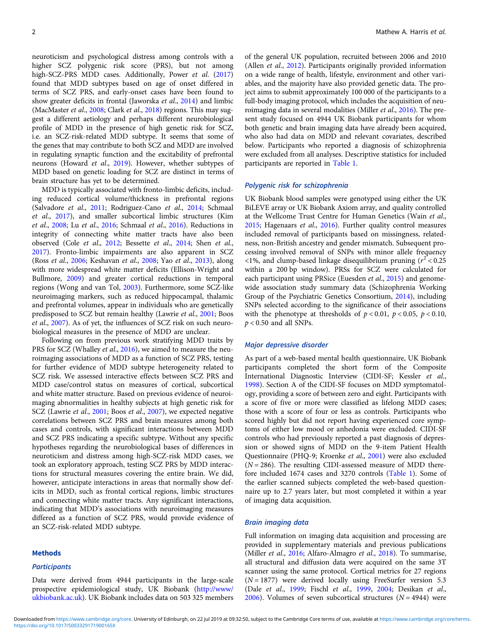neuroticism and psychological distress among controls with a higher SCZ polygenic risk score (PRS), but not among high-SCZ-PRS MDD cases. Additionally, Power et al. ([2017\)](#page-9-0) found that MDD subtypes based on age of onset differed in terms of SCZ PRS, and early-onset cases have been found to show greater deficits in frontal (Jaworska et al., [2014\)](#page-9-0) and limbic (MacMaster et al., [2008;](#page-9-0) Clark et al., [2018](#page-8-0)) regions. This may suggest a different aetiology and perhaps different neurobiological profile of MDD in the presence of high genetic risk for SCZ, i.e. an SCZ-risk-related MDD subtype. It seems that some of the genes that may contribute to both SCZ and MDD are involved in regulating synaptic function and the excitability of prefrontal neurons (Howard et al., [2019\)](#page-9-0). However, whether subtypes of MDD based on genetic loading for SCZ are distinct in terms of brain structure has yet to be determined.

MDD is typically associated with fronto-limbic deficits, including reduced cortical volume/thickness in prefrontal regions (Salvadore et al., [2011](#page-10-0); Rodriguez-Cano et al., [2014](#page-10-0); Schmaal et al., [2017\)](#page-10-0), and smaller subcortical limbic structures (Kim et al., [2008](#page-9-0); Lu et al., [2016;](#page-9-0) Schmaal et al., [2016](#page-10-0)). Reductions in integrity of connecting white matter tracts have also been observed (Cole et al., [2012;](#page-8-0) Bessette et al., [2014](#page-8-0); Shen et al., [2017\)](#page-10-0). Fronto-limbic impairments are also apparent in SCZ (Ross et al., [2006](#page-10-0); Keshavan et al., [2008;](#page-9-0) Yao et al., [2013\)](#page-10-0), along with more widespread white matter deficits (Ellison-Wright and Bullmore, [2009\)](#page-8-0) and greater cortical reductions in temporal regions (Wong and van Tol, [2003\)](#page-10-0). Furthermore, some SCZ-like neuroimaging markers, such as reduced hippocampal, thalamic and prefrontal volumes, appear in individuals who are genetically predisposed to SCZ but remain healthy (Lawrie et al., [2001;](#page-9-0) Boos et al., [2007](#page-8-0)). As of yet, the influences of SCZ risk on such neurobiological measures in the presence of MDD are unclear.

Following on from previous work stratifying MDD traits by PRS for SCZ (Whalley et al., [2016](#page-10-0)), we aimed to measure the neuroimaging associations of MDD as a function of SCZ PRS, testing for further evidence of MDD subtype heterogeneity related to SCZ risk. We assessed interactive effects between SCZ PRS and MDD case/control status on measures of cortical, subcortical and white matter structure. Based on previous evidence of neuroimaging abnormalities in healthy subjects at high genetic risk for SCZ (Lawrie et al., [2001](#page-9-0); Boos et al., [2007\)](#page-8-0), we expected negative correlations between SCZ PRS and brain measures among both cases and controls, with significant interactions between MDD and SCZ PRS indicating a specific subtype. Without any specific hypotheses regarding the neurobiological bases of differences in neuroticism and distress among high-SCZ-risk MDD cases, we took an exploratory approach, testing SCZ PRS by MDD interactions for structural measures covering the entire brain. We did, however, anticipate interactions in areas that normally show deficits in MDD, such as frontal cortical regions, limbic structures and connecting white matter tracts. Any significant interactions, indicating that MDD's associations with neuroimaging measures differed as a function of SCZ PRS, would provide evidence of an SCZ-risk-related MDD subtype.

#### Methods

#### **Participants**

Data were derived from 4944 participants in the large-scale prospective epidemiological study, UK Biobank ([http://www/](http://www/ukbiobank.ac.uk) [ukbiobank.ac.uk\)](http://www/ukbiobank.ac.uk). UK Biobank includes data on 503 325 members

of the general UK population, recruited between 2006 and 2010 (Allen et al., [2012](#page-8-0)). Participants originally provided information on a wide range of health, lifestyle, environment and other variables, and the majority have also provided genetic data. The project aims to submit approximately 100 000 of the participants to a full-body imaging protocol, which includes the acquisition of neuroimaging data in several modalities (Miller et al., [2016](#page-9-0)). The present study focused on 4944 UK Biobank participants for whom both genetic and brain imaging data have already been acquired, who also had data on MDD and relevant covariates, described below. Participants who reported a diagnosis of schizophrenia were excluded from all analyses. Descriptive statistics for included participants are reported in [Table 1.](#page-3-0)

#### Polygenic risk for schizophrenia

UK Biobank blood samples were genotyped using either the UK BiLEVE array or UK Biobank Axiom array, and quality controlled at the Wellcome Trust Centre for Human Genetics (Wain et al., [2015;](#page-10-0) Hagenaars et al., [2016](#page-9-0)). Further quality control measures included removal of participants based on missingness, relatedness, non-British ancestry and gender mismatch. Subsequent processing involved removal of SNPs with minor allele frequency <1%, and clump-based linkage disequilibrium pruning  $(r^2 < 0.25)$ within a 200 bp window). PRSs for SCZ were calculated for each participant using PRSice (Euesden et al., [2015\)](#page-8-0) and genomewide association study summary data (Schizophrenia Working Group of the Psychiatric Genetics Consortium, [2014](#page-10-0)), including SNPs selected according to the significance of their associations with the phenotype at thresholds of  $p < 0.01$ ,  $p < 0.05$ ,  $p < 0.10$ ,  $p < 0.50$  and all SNPs.

#### Major depressive disorder

As part of a web-based mental health questionnaire, UK Biobank participants completed the short form of the Composite International Diagnostic Interview (CIDI-SF; Kessler et al., [1998\)](#page-9-0). Section A of the CIDI-SF focuses on MDD symptomatology, providing a score of between zero and eight. Participants with a score of five or more were classified as lifelong MDD cases; those with a score of four or less as controls. Participants who scored highly but did not report having experienced core symptoms of either low mood or anhedonia were excluded. CIDI-SF controls who had previously reported a past diagnosis of depression or showed signs of MDD on the 9-item Patient Health Questionnaire (PHQ-9; Kroenke et al., [2001\)](#page-9-0) were also excluded  $(N = 286)$ . The resulting CIDI-assessed measure of MDD therefore included 1674 cases and 3270 controls ([Table 1](#page-3-0)). Some of the earlier scanned subjects completed the web-based questionnaire up to 2.7 years later, but most completed it within a year of imaging data acquisition.

#### Brain imaging data

Full information on imaging data acquisition and processing are provided in supplementary materials and previous publications (Miller et al., [2016](#page-9-0); Alfaro-Almagro et al., [2018\)](#page-8-0). To summarise, all structural and diffusion data were acquired on the same 3T scanner using the same protocol. Cortical metrics for 27 regions  $(N = 1877)$  were derived locally using FreeSurfer version 5.3 (Dale et al., [1999;](#page-8-0) Fischl et al., [1999](#page-8-0), [2004](#page-9-0); Desikan et al., [2006\)](#page-8-0). Volumes of seven subcortical structures  $(N = 4944)$  were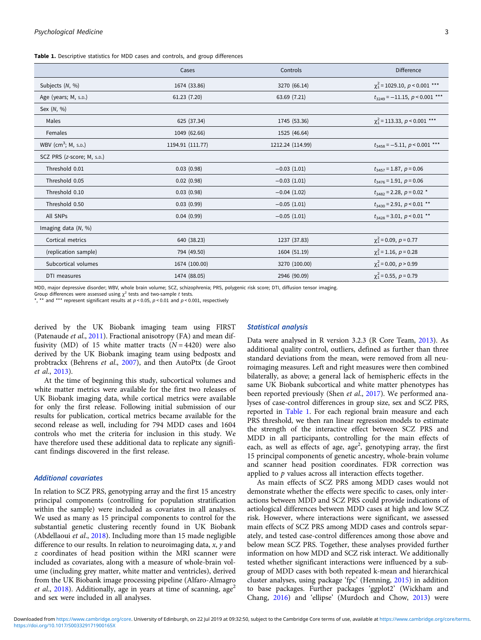<span id="page-3-0"></span>Table 1. Descriptive statistics for MDD cases and controls, and group differences

|                            | Cases            | Controls         | <b>Difference</b>                    |
|----------------------------|------------------|------------------|--------------------------------------|
| Subjects (N, %)            | 1674 (33.86)     | 3270 (66.14)     | $\chi_1^2$ = 1029.10, p < 0.001 ***  |
| Age (years; M, s.D.)       | 61.23 (7.20)     | 63.69 (7.21)     | $t_{3249}$ = -11.15, $p < 0.001$ *** |
| Sex $(N, %)$               |                  |                  |                                      |
| Males                      | 625 (37.34)      | 1745 (53.36)     | $\chi_1^2$ = 113.33, p < 0.001 ***   |
| Females                    | 1049 (62.66)     | 1525 (46.64)     |                                      |
| WBV $(cm^3; M, s.p.)$      | 1194.91 (111.77) | 1212.24 (114.99) | $t_{3458}$ = -5.11, $p < 0.001$ ***  |
| SCZ PRS (z-score; M, s.D.) |                  |                  |                                      |
| Threshold 0.01             | 0.03(0.98)       | $-0.03(1.01)$    | $t_{3457} = 1.87, p = 0.06$          |
| Threshold 0.05             | 0.02(0.98)       | $-0.03(1.01)$    | $t_{3476} = 1.91, p = 0.06$          |
| Threshold 0.10             | 0.03(0.98)       | $-0.04(1.02)$    | $t_{3482}$ = 2.28, $p = 0.02$ *      |
| Threshold 0.50             | 0.03(0.99)       | $-0.05(1.01)$    | $t_{3430}$ = 2.91, $p < 0.01$ **     |
| All SNPs                   | 0.04(0.99)       | $-0.05(1.01)$    | $t_{3428}$ = 3.01, $p < 0.01$ **     |
| Imaging data $(N, %)$      |                  |                  |                                      |
| Cortical metrics           | 640 (38.23)      | 1237 (37.83)     | $\chi_1^2$ = 0.09, p = 0.77          |
| (replication sample)       | 794 (49.50)      | 1604 (51.19)     | $\chi_1^2$ = 1.16, p = 0.28          |
| Subcortical volumes        | 1674 (100.00)    | 3270 (100.00)    | $\chi_1^2$ = 0.00, p > 0.99          |
| DTI measures               | 1474 (88.05)     | 2946 (90.09)     | $\chi_1^2$ = 0.55, p = 0.79          |

MDD, major depressive disorder; WBV, whole brain volume; SCZ, schizophrenia; PRS, polygenic risk score; DTI, diffusion tensor imaging.

Group differences were assessed using  $\chi^2$  tests and two-sample t tests.

, \*\* and \*\*\* represent significant results at  $p < 0.05$ ,  $p < 0.01$  and  $p < 0.001$ , respectively

derived by the UK Biobank imaging team using FIRST (Patenaude et al., [2011\)](#page-9-0). Fractional anisotropy (FA) and mean diffusivity (MD) of 15 white matter tracts  $(N = 4420)$  were also derived by the UK Biobank imaging team using bedpostx and probtrackx (Behrens et al., [2007](#page-8-0)), and then AutoPtx (de Groot et al., [2013\)](#page-8-0).

At the time of beginning this study, subcortical volumes and white matter metrics were available for the first two releases of UK Biobank imaging data, while cortical metrics were available for only the first release. Following initial submission of our results for publication, cortical metrics became available for the second release as well, including for 794 MDD cases and 1604 controls who met the criteria for inclusion in this study. We have therefore used these additional data to replicate any significant findings discovered in the first release.

#### Additional covariates

In relation to SCZ PRS, genotyping array and the first 15 ancestry principal components (controlling for population stratification within the sample) were included as covariates in all analyses. We used as many as 15 principal components to control for the substantial genetic clustering recently found in UK Biobank (Abdellaoui et al., [2018](#page-7-0)). Including more than 15 made negligible difference to our results. In relation to neuroimaging data, x, y and z coordinates of head position within the MRI scanner were included as covariates, along with a measure of whole-brain volume (including grey matter, white matter and ventricles), derived from the UK Biobank image processing pipeline (Alfaro-Almagro *et al.*, [2018](#page-8-0)). Additionally, age in years at time of scanning, age<sup>2</sup> and sex were included in all analyses.

### Statistical analysis

Data were analysed in R version 3.2.3 (R Core Team, [2013\)](#page-9-0). As additional quality control, outliers, defined as further than three standard deviations from the mean, were removed from all neuroimaging measures. Left and right measures were then combined bilaterally, as above; a general lack of hemispheric effects in the same UK Biobank subcortical and white matter phenotypes has been reported previously (Shen et al., [2017](#page-10-0)). We performed analyses of case-control differences in group size, sex and SCZ PRS, reported in Table 1. For each regional brain measure and each PRS threshold, we then ran linear regression models to estimate the strength of the interactive effect between SCZ PRS and MDD in all participants, controlling for the main effects of each, as well as effects of age,  $age^2$ , genotyping array, the first 15 principal components of genetic ancestry, whole-brain volume and scanner head position coordinates. FDR correction was applied to p values across all interaction effects together.

As main effects of SCZ PRS among MDD cases would not demonstrate whether the effects were specific to cases, only interactions between MDD and SCZ PRS could provide indications of aetiological differences between MDD cases at high and low SCZ risk. However, where interactions were significant, we assessed main effects of SCZ PRS among MDD cases and controls separately, and tested case-control differences among those above and below mean SCZ PRS. Together, these analyses provided further information on how MDD and SCZ risk interact. We additionally tested whether significant interactions were influenced by a subgroup of MDD cases with both repeated k-mean and hierarchical cluster analyses, using package 'fpc' (Henning, [2015](#page-9-0)) in addition to base packages. Further packages 'ggplot2' (Wickham and Chang, [2016\)](#page-10-0) and 'ellipse' (Murdoch and Chow, [2013\)](#page-9-0) were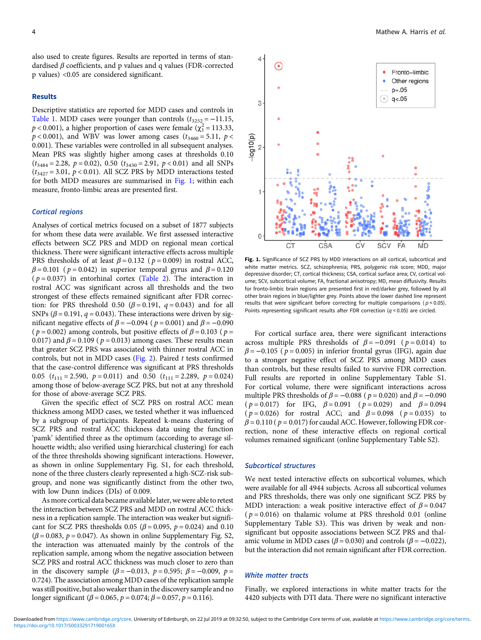also used to create figures. Results are reported in terms of standardised  $\beta$  coefficients, and p values and q values (FDR-corrected p values) <0.05 are considered significant.

#### Results

Descriptive statistics are reported for MDD cases and controls in [Table 1](#page-3-0). MDD cases were younger than controls  $(t_{3252} = -11.15$ ,  $p < 0.001$ ), a higher proportion of cases were female ( $\chi_1^2 = 113.33$ ,  $p < 0.001$ ), and WBV was lower among cases ( $t_{3460} = 5.11$ ,  $p <$ 0.001). These variables were controlled in all subsequent analyses. Mean PRS was slightly higher among cases at thresholds 0.10  $(t_{3484} = 2.28, p = 0.02), 0.50$   $(t_{3430} = 2.91, p < 0.01)$  and all SNPs  $(t_{3427} = 3.01, p < 0.01)$ . All SCZ PRS by MDD interactions tested for both MDD measures are summarised in Fig. 1; within each measure, fronto-limbic areas are presented first.

#### Cortical regions

Analyses of cortical metrics focused on a subset of 1877 subjects for whom these data were available. We first assessed interactive effects between SCZ PRS and MDD on regional mean cortical thickness. There were significant interactive effects across multiple PRS thresholds of at least  $\beta = 0.132$  ( $p = 0.009$ ) in rostral ACC,  $\beta$  = 0.101 ( p = 0.042) in superior temporal gyrus and  $\beta$  = 0.120 ( $p = 0.037$ ) in entorhinal cortex [\(Table 2\)](#page-5-0). The interaction in rostral ACC was significant across all thresholds and the two strongest of these effects remained significant after FDR correction: for PRS threshold 0.50 ( $\beta$  = 0.191,  $q$  = 0.043) and for all SNPs ( $\beta$  = 0.191,  $q$  = 0.043). These interactions were driven by significant negative effects of  $\beta = -0.094$  ( $p = 0.001$ ) and  $\beta = -0.090$ (  $p = 0.002$ ) among controls, but positive effects of  $\beta = 0.103$  (  $p =$ 0.017) and  $\beta$  = 0.109 ( $p$  = 0.013) among cases. These results mean that greater SCZ PRS was associated with thinner rostral ACC in controls, but not in MDD cases ([Fig. 2](#page-6-0)). Paired  $t$  tests confirmed that the case-control difference was significant at PRS thresholds 0.05  $(t_{111} = 2.590, p = 0.011)$  and 0.50  $(t_{111} = 2.289, p = 0.024)$ among those of below-average SCZ PRS, but not at any threshold for those of above-average SCZ PRS.

Given the specific effect of SCZ PRS on rostral ACC mean thickness among MDD cases, we tested whether it was influenced by a subgroup of participants. Repeated k-means clustering of SCZ PRS and rostral ACC thickness data using the function 'pamk' identified three as the optimum (according to average silhouette width; also verified using hierarchical clustering) for each of the three thresholds showing significant interactions. However, as shown in online Supplementary Fig. S1, for each threshold, none of the three clusters clearly represented a high-SCZ-risk subgroup, and none was significantly distinct from the other two, with low Dunn indices (DIs) of 0.009.

As more cortical data became available later, wewere able to retest the interaction between SCZ PRS and MDD on rostral ACC thickness in a replication sample. The interaction was weaker but significant for SCZ PRS thresholds 0.05 ( $\beta$  = 0.095,  $p$  = 0.024) and 0.10  $(\beta = 0.083, p = 0.047)$ . As shown in online Supplementary Fig. S2, the interaction was attenuated mainly by the controls of the replication sample, among whom the negative association between SCZ PRS and rostral ACC thickness was much closer to zero than in the discovery sample ( $\beta$  = -0.013, p = 0.595;  $\beta$  = -0.009, p = 0.724). The association among MDD cases of the replication sample was still positive, but alsoweaker than in the discovery sample and no longer significant ( $\beta$  = 0.065,  $p$  = 0.074;  $\beta$  = 0.057,  $p$  = 0.116).



Fig. 1. Significance of SCZ PRS by MDD interactions on all cortical, subcortical and white matter metrics. SCZ, schizophrenia; PRS, polygenic risk score; MDD, major depressive disorder; CT, cortical thickness; CSA, cortical surface area; CV, cortical volume; SCV, subcortical volume; FA, fractional anisotropy; MD, mean diffusivity. Results for fronto-limbic brain regions are presented first in red/darker grey, followed by all other brain regions in blue/lighter grey. Points above the lower dashed line represent results that were significant before correcting for multiple comparisons ( $p < 0.05$ ). Points representing significant results after FDR correction  $(q < 0.05)$  are circled.

For cortical surface area, there were significant interactions across multiple PRS thresholds of  $\beta = -0.091$  ( $p = 0.014$ ) to  $\beta$  = −0.105 ( $p$  = 0.005) in inferior frontal gyrus (IFG), again due to a stronger negative effect of SCZ PRS among MDD cases than controls, but these results failed to survive FDR correction. Full results are reported in online Supplementary Table S1. For cortical volume, there were significant interactions across multiple PRS thresholds of  $\beta$  = -0.088 (  $p$  = 0.020) and  $\beta$  = -0.090 (  $p = 0.017$ ) for IFG,  $\beta = 0.091$  (  $p = 0.029$ ) and  $\beta = 0.094$ (  $p = 0.026$ ) for rostral ACC; and  $\beta = 0.098$  (  $p = 0.035$ ) to  $\beta$  = 0.110 ( $p$  = 0.017) for caudal ACC. However, following FDR correction, none of these interactive effects on regional cortical volumes remained significant (online Supplementary Table S2).

#### Subcortical structures

We next tested interactive effects on subcortical volumes, which were available for all 4944 subjects. Across all subcortical volumes and PRS thresholds, there was only one significant SCZ PRS by MDD interaction: a weak positive interactive effect of  $\beta = 0.047$  $(p = 0.016)$  on thalamic volume at PRS threshold 0.01 (online Supplementary Table S3). This was driven by weak and nonsignificant but opposite associations between SCZ PRS and thalamic volume in MDD cases ( $\beta$  = 0.030) and controls ( $\beta$  = -0.022), but the interaction did not remain significant after FDR correction.

#### White matter tracts

Finally, we explored interactions in white matter tracts for the 4420 subjects with DTI data. There were no significant interactive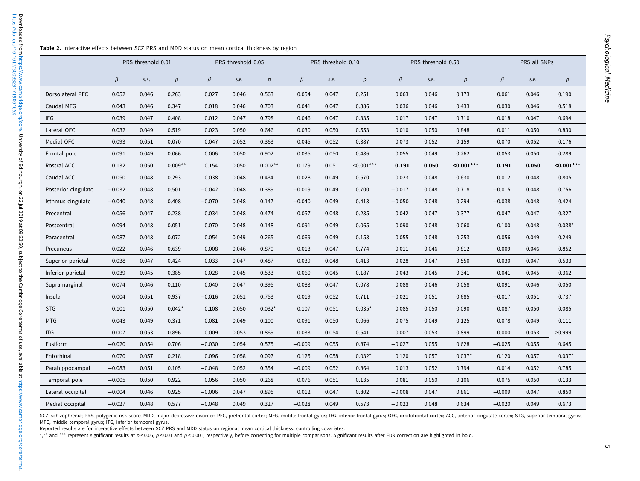#### Table 2. Interactive effects between SCZ PRS and MDD status on mean cortical thickness by region

|                     | PRS threshold 0.01 |       | PRS threshold 0.05 |          |       | PRS threshold 0.10 |          | PRS threshold 0.50 |               |          | PRS all SNPs |              |          |       |              |
|---------------------|--------------------|-------|--------------------|----------|-------|--------------------|----------|--------------------|---------------|----------|--------------|--------------|----------|-------|--------------|
|                     | $\beta$            | S.E.  | p                  | $\beta$  | S.E.  | p                  | $\beta$  | S.E.               | p             | $\beta$  | S.E.         | p            | $\beta$  | S.E.  | p            |
| Dorsolateral PFC    | 0.052              | 0.046 | 0.263              | 0.027    | 0.046 | 0.563              | 0.054    | 0.047              | 0.251         | 0.063    | 0.046        | 0.173        | 0.061    | 0.046 | 0.190        |
| Caudal MFG          | 0.043              | 0.046 | 0.347              | 0.018    | 0.046 | 0.703              | 0.041    | 0.047              | 0.386         | 0.036    | 0.046        | 0.433        | 0.030    | 0.046 | 0.518        |
| <b>IFG</b>          | 0.039              | 0.047 | 0.408              | 0.012    | 0.047 | 0.798              | 0.046    | 0.047              | 0.335         | 0.017    | 0.047        | 0.710        | 0.018    | 0.047 | 0.694        |
| Lateral OFC         | 0.032              | 0.049 | 0.519              | 0.023    | 0.050 | 0.646              | 0.030    | 0.050              | 0.553         | 0.010    | 0.050        | 0.848        | 0.011    | 0.050 | 0.830        |
| Medial OFC          | 0.093              | 0.051 | 0.070              | 0.047    | 0.052 | 0.363              | 0.045    | 0.052              | 0.387         | 0.073    | 0.052        | 0.159        | 0.070    | 0.052 | 0.176        |
| Frontal pole        | 0.091              | 0.049 | 0.066              | 0.006    | 0.050 | 0.902              | 0.035    | 0.050              | 0.486         | 0.055    | 0.049        | 0.262        | 0.053    | 0.050 | 0.289        |
| Rostral ACC         | 0.132              | 0.050 | $0.009**$          | 0.154    | 0.050 | $0.002**$          | 0.179    | 0.051              | $< 0.001$ *** | 0.191    | 0.050        | $< 0.001***$ | 0.191    | 0.050 | $< 0.001***$ |
| Caudal ACC          | 0.050              | 0.048 | 0.293              | 0.038    | 0.048 | 0.434              | 0.028    | 0.049              | 0.570         | 0.023    | 0.048        | 0.630        | 0.012    | 0.048 | 0.805        |
| Posterior cingulate | $-0.032$           | 0.048 | 0.501              | $-0.042$ | 0.048 | 0.389              | $-0.019$ | 0.049              | 0.700         | $-0.017$ | 0.048        | 0.718        | $-0.015$ | 0.048 | 0.756        |
| Isthmus cingulate   | $-0.040$           | 0.048 | 0.408              | $-0.070$ | 0.048 | 0.147              | $-0.040$ | 0.049              | 0.413         | $-0.050$ | 0.048        | 0.294        | $-0.038$ | 0.048 | 0.424        |
| Precentral          | 0.056              | 0.047 | 0.238              | 0.034    | 0.048 | 0.474              | 0.057    | 0.048              | 0.235         | 0.042    | 0.047        | 0.377        | 0.047    | 0.047 | 0.327        |
| Postcentral         | 0.094              | 0.048 | 0.051              | 0.070    | 0.048 | 0.148              | 0.091    | 0.049              | 0.065         | 0.090    | 0.048        | 0.060        | 0.100    | 0.048 | $0.038*$     |
| Paracentral         | 0.087              | 0.048 | 0.072              | 0.054    | 0.049 | 0.265              | 0.069    | 0.049              | 0.158         | 0.055    | 0.048        | 0.253        | 0.056    | 0.049 | 0.249        |
| Precuneus           | 0.022              | 0.046 | 0.639              | 0.008    | 0.046 | 0.870              | 0.013    | 0.047              | 0.774         | 0.011    | 0.046        | 0.812        | 0.009    | 0.046 | 0.852        |
| Superior parietal   | 0.038              | 0.047 | 0.424              | 0.033    | 0.047 | 0.487              | 0.039    | 0.048              | 0.413         | 0.028    | 0.047        | 0.550        | 0.030    | 0.047 | 0.533        |
| Inferior parietal   | 0.039              | 0.045 | 0.385              | 0.028    | 0.045 | 0.533              | 0.060    | 0.045              | 0.187         | 0.043    | 0.045        | 0.341        | 0.041    | 0.045 | 0.362        |
| Supramarginal       | 0.074              | 0.046 | 0.110              | 0.040    | 0.047 | 0.395              | 0.083    | 0.047              | 0.078         | 0.088    | 0.046        | 0.058        | 0.091    | 0.046 | 0.050        |
| Insula              | 0.004              | 0.051 | 0.937              | $-0.016$ | 0.051 | 0.753              | 0.019    | 0.052              | 0.711         | $-0.021$ | 0.051        | 0.685        | $-0.017$ | 0.051 | 0.737        |
| <b>STG</b>          | 0.101              | 0.050 | $0.042*$           | 0.108    | 0.050 | $0.032*$           | 0.107    | 0.051              | $0.035*$      | 0.085    | 0.050        | 0.090        | 0.087    | 0.050 | 0.085        |
| <b>MTG</b>          | 0.043              | 0.049 | 0.371              | 0.081    | 0.049 | 0.100              | 0.091    | 0.050              | 0.066         | 0.075    | 0.049        | 0.125        | 0.078    | 0.049 | 0.111        |
| <b>ITG</b>          | 0.007              | 0.053 | 0.896              | 0.009    | 0.053 | 0.869              | 0.033    | 0.054              | 0.541         | 0.007    | 0.053        | 0.899        | 0.000    | 0.053 | >0.999       |
| Fusiform            | $-0.020$           | 0.054 | 0.706              | $-0.030$ | 0.054 | 0.575              | $-0.009$ | 0.055              | 0.874         | $-0.027$ | 0.055        | 0.628        | $-0.025$ | 0.055 | 0.645        |
| Entorhinal          | 0.070              | 0.057 | 0.218              | 0.096    | 0.058 | 0.097              | 0.125    | 0.058              | $0.032*$      | 0.120    | 0.057        | $0.037*$     | 0.120    | 0.057 | $0.037*$     |
| Parahippocampal     | $-0.083$           | 0.051 | 0.105              | $-0.048$ | 0.052 | 0.354              | $-0.009$ | 0.052              | 0.864         | 0.013    | 0.052        | 0.794        | 0.014    | 0.052 | 0.785        |
| Temporal pole       | $-0.005$           | 0.050 | 0.922              | 0.056    | 0.050 | 0.268              | 0.076    | 0.051              | 0.135         | 0.081    | 0.050        | 0.106        | 0.075    | 0.050 | 0.133        |
| Lateral occipital   | $-0.004$           | 0.046 | 0.925              | $-0.006$ | 0.047 | 0.895              | 0.012    | 0.047              | 0.802         | $-0.008$ | 0.047        | 0.861        | $-0.009$ | 0.047 | 0.850        |
| Medial occipital    | $-0.027$           | 0.048 | 0.577              | $-0.048$ | 0.049 | 0.327              | $-0.028$ | 0.049              | 0.573         | $-0.023$ | 0.048        | 0.634        | $-0.020$ | 0.049 | 0.673        |

 $\sim$ ÷.

<https://doi.org/10.1017/S003329171900165X>

Downloaded from [https://www.cambridge.org/core.](https://www.cambridge.org/core) University of Edinburgh, on 22 Jul 2019 at 09:32:50, subject to the Cambridge Core terms of use, available at [https://www.cambridge.org/core/terms.](https://www.cambridge.org/core/terms)

available at https.

WWW/

.cambridge.org/core/terms

<span id="page-5-0"></span>Downloaded from https://www.cambridge.org/core. University of Edinburgh, on 22 Jul 2019 at 09:32:50, subject to the Cambridge Core terms of use,<br>https://doi.org/10.1017/5003329171900165X

SCZ, schizophrenia; PRS, polygenic risk score; MDD, major depressive disorder; PFC, prefrontal cortex; MFG, middle frontal gyrus; IFG, inferior frontal gyrus; OFC, orbitofrontal cortex; ACC, anterior cingulate cortex; STG, MTG, middle temporal gyrus; ITG, inferior temporal gyrus.

Reported results are for interactive effects between SCZ PRS and MDD status on regional mean cortical thickness, controlling covariates.

\*\*\* and \*\*\* represent significant results at p < 0.05, p < 0.01 and p < 0.001, respectively, before correcting for multiple comparisons. Significant results after FDR correction are highlighted in bold.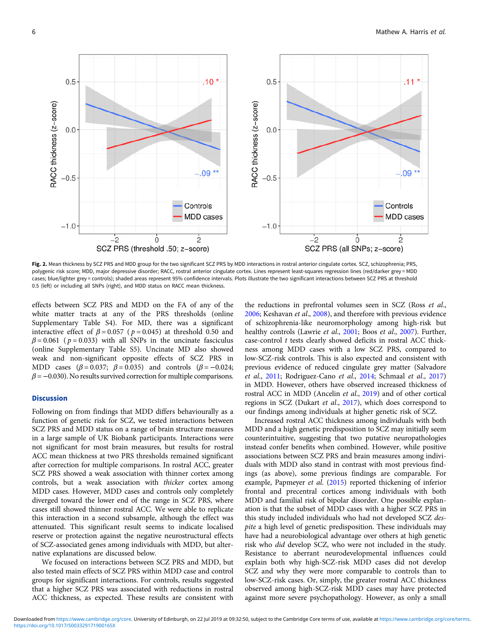<span id="page-6-0"></span>

Fig. 2. Mean thickness by SCZ PRS and MDD group for the two significant SCZ PRS by MDD interactions in rostral anterior cingulate cortex. SCZ, schizophrenia; PRS, polygenic risk score; MDD, major depressive disorder; RACC, rostral anterior cingulate cortex. Lines represent least-squares regression lines (red/darker grey = MDD cases; blue/lighter grey = controls); shaded areas represent 95% confidence intervals. Plots illustrate the two significant interactions between SCZ PRS at threshold 0.5 (left) or including all SNPs (right), and MDD status on RACC mean thickness.

effects between SCZ PRS and MDD on the FA of any of the white matter tracts at any of the PRS thresholds (online Supplementary Table S4). For MD, there was a significant interactive effect of  $\beta$  = 0.057 ( $p$  = 0.045) at threshold 0.50 and  $\beta$  = 0.061 ( $p$  = 0.033) with all SNPs in the uncinate fasciculus (online Supplementary Table S5). Uncinate MD also showed weak and non-significant opposite effects of SCZ PRS in MDD cases ( $\beta = 0.037$ ;  $\beta = 0.035$ ) and controls ( $\beta = -0.024$ ;  $\beta$  = -0.030). No results survived correction for multiple comparisons.

### **Discussion**

Following on from findings that MDD differs behaviourally as a function of genetic risk for SCZ, we tested interactions between SCZ PRS and MDD status on a range of brain structure measures in a large sample of UK Biobank participants. Interactions were not significant for most brain measures, but results for rostral ACC mean thickness at two PRS thresholds remained significant after correction for multiple comparisons. In rostral ACC, greater SCZ PRS showed a weak association with thinner cortex among controls, but a weak association with thicker cortex among MDD cases. However, MDD cases and controls only completely diverged toward the lower end of the range in SCZ PRS, where cases still showed thinner rostral ACC. We were able to replicate this interaction in a second subsample, although the effect was attenuated. This significant result seems to indicate localised reserve or protection against the negative neurostructural effects of SCZ-associated genes among individuals with MDD, but alternative explanations are discussed below.

We focused on interactions between SCZ PRS and MDD, but also tested main effects of SCZ PRS within MDD case and control groups for significant interactions. For controls, results suggested that a higher SCZ PRS was associated with reductions in rostral ACC thickness, as expected. These results are consistent with

the reductions in prefrontal volumes seen in SCZ (Ross et al., [2006;](#page-10-0) Keshavan et al., [2008\)](#page-9-0), and therefore with previous evidence of schizophrenia-like neuromorphology among high-risk but healthy controls (Lawrie et al., [2001](#page-9-0); Boos et al., [2007](#page-8-0)). Further, case-control t tests clearly showed deficits in rostral ACC thickness among MDD cases with a low SCZ PRS, compared to low-SCZ-risk controls. This is also expected and consistent with previous evidence of reduced cingulate grey matter (Salvadore et al., [2011](#page-10-0); Rodriguez-Cano et al., [2014;](#page-10-0) Schmaal et al., [2017](#page-10-0)) in MDD. However, others have observed increased thickness of rostral ACC in MDD (Ancelin et al., [2019\)](#page-8-0) and of other cortical regions in SCZ (Dukart et al., [2017\)](#page-8-0), which does correspond to our findings among individuals at higher genetic risk of SCZ.

Increased rostral ACC thickness among individuals with both MDD and a high genetic predisposition to SCZ may initially seem counterintuitive, suggesting that two putative neuropathologies instead confer benefits when combined. However, while positive associations between SCZ PRS and brain measures among individuals with MDD also stand in contrast with most previous findings (as above), some previous findings are comparable. For example, Papmeyer et al. ([2015](#page-9-0)) reported thickening of inferior frontal and precentral cortices among individuals with both MDD and familial risk of bipolar disorder. One possible explanation is that the subset of MDD cases with a higher SCZ PRS in this study included individuals who had not developed SCZ despite a high level of genetic predisposition. These individuals may have had a neurobiological advantage over others at high genetic risk who did develop SCZ, who were not included in the study. Resistance to aberrant neurodevelopmental influences could explain both why high-SCZ-risk MDD cases did not develop SCZ and why they were more comparable to controls than to low-SCZ-risk cases. Or, simply, the greater rostral ACC thickness observed among high-SCZ-risk MDD cases may have protected against more severe psychopathology. However, as only a small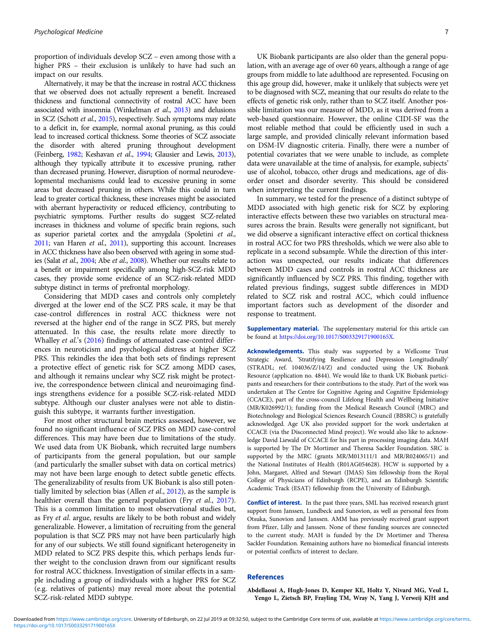<span id="page-7-0"></span>proportion of individuals develop SCZ – even among those with a higher PRS – their exclusion is unlikely to have had such an impact on our results.

Alternatively, it may be that the increase in rostral ACC thickness that we observed does not actually represent a benefit. Increased thickness and functional connectivity of rostral ACC have been associated with insomnia (Winkelman et al., [2013](#page-10-0)) and delusions in SCZ (Schott et al., [2015](#page-10-0)), respectively. Such symptoms may relate to a deficit in, for example, normal axonal pruning, as this could lead to increased cortical thickness. Some theories of SCZ associate the disorder with altered pruning throughout development (Feinberg, [1982](#page-8-0); Keshavan et al., [1994](#page-9-0); Glausier and Lewis, [2013\)](#page-9-0), although they typically attribute it to excessive pruning, rather than decreased pruning. However, disruption of normal neurodevelopmental mechanisms could lead to excessive pruning in some areas but decreased pruning in others. While this could in turn lead to greater cortical thickness, these increases might be associated with aberrant hyperactivity or reduced efficiency, contributing to psychiatric symptoms. Further results do suggest SCZ-related increases in thickness and volume of specific brain regions, such as superior parietal cortex and the amygdala (Spoletini et al., [2011](#page-10-0); van Haren et al., [2011](#page-10-0)), supporting this account. Increases in ACC thickness have also been observed with ageing in some studies (Salat et al., [2004](#page-10-0); Abe et al., [2008\)](#page-8-0). Whether our results relate to a benefit or impairment specifically among high-SCZ-risk MDD cases, they provide some evidence of an SCZ-risk-related MDD subtype distinct in terms of prefrontal morphology.

Considering that MDD cases and controls only completely diverged at the lower end of the SCZ PRS scale, it may be that case-control differences in rostral ACC thickness were not reversed at the higher end of the range in SCZ PRS, but merely attenuated. In this case, the results relate more directly to Whalley et al.'s [\(2016\)](#page-10-0) findings of attenuated case-control differences in neuroticism and psychological distress at higher SCZ PRS. This rekindles the idea that both sets of findings represent a protective effect of genetic risk for SCZ among MDD cases, and although it remains unclear why SCZ risk might be protective, the correspondence between clinical and neuroimaging findings strengthens evidence for a possible SCZ-risk-related MDD subtype. Although our cluster analyses were not able to distinguish this subtype, it warrants further investigation.

For most other structural brain metrics assessed, however, we found no significant influence of SCZ PRS on MDD case-control differences. This may have been due to limitations of the study. We used data from UK Biobank, which recruited large numbers of participants from the general population, but our sample (and particularly the smaller subset with data on cortical metrics) may not have been large enough to detect subtle genetic effects. The generalizability of results from UK Biobank is also still potentially limited by selection bias (Allen et al., [2012\)](#page-8-0), as the sample is healthier overall than the general population (Fry et al., [2017\)](#page-9-0). This is a common limitation to most observational studies but, as Fry et al. argue, results are likely to be both robust and widely generalizable. However, a limitation of recruiting from the general population is that SCZ PRS may not have been particularly high for any of our subjects. We still found significant heterogeneity in MDD related to SCZ PRS despite this, which perhaps lends further weight to the conclusion drawn from our significant results for rostral ACC thickness. Investigation of similar effects in a sample including a group of individuals with a higher PRS for SCZ (e.g. relatives of patients) may reveal more about the potential SCZ-risk-related MDD subtype.

UK Biobank participants are also older than the general population, with an average age of over 60 years, although a range of age groups from middle to late adulthood are represented. Focusing on this age group did, however, make it unlikely that subjects were yet to be diagnosed with SCZ, meaning that our results do relate to the effects of genetic risk only, rather than to SCZ itself. Another possible limitation was our measure of MDD, as it was derived from a web-based questionnaire. However, the online CIDI-SF was the most reliable method that could be efficiently used in such a large sample, and provided clinically relevant information based on DSM-IV diagnostic criteria. Finally, there were a number of potential covariates that we were unable to include, as complete data were unavailable at the time of analysis, for example, subjects' use of alcohol, tobacco, other drugs and medications, age of disorder onset and disorder severity. This should be considered when interpreting the current findings.

In summary, we tested for the presence of a distinct subtype of MDD associated with high genetic risk for SCZ by exploring interactive effects between these two variables on structural measures across the brain. Results were generally not significant, but we did observe a significant interactive effect on cortical thickness in rostral ACC for two PRS thresholds, which we were also able to replicate in a second subsample. While the direction of this interaction was unexpected, our results indicate that differences between MDD cases and controls in rostral ACC thickness are significantly influenced by SCZ PRS. This finding, together with related previous findings, suggest subtle differences in MDD related to SCZ risk and rostral ACC, which could influence important factors such as development of the disorder and response to treatment.

Supplementary material. The supplementary material for this article can be found at [https://doi.org/10.1017/S003329171900165X.](https://doi.org/10.1017/S003329171900165X)

Acknowledgements. This study was supported by a Wellcome Trust Strategic Award, 'Stratifying Resilience and Depression Longitudinally' (STRADL; ref. 104036/Z/14/Z) and conducted using the UK Biobank Resource (application no. 4844). We would like to thank UK Biobank participants and researchers for their contributions to the study. Part of the work was undertaken at The Centre for Cognitive Ageing and Cognitive Epidemiology (CCACE), part of the cross-council Lifelong Health and Wellbeing Initiative (MR/K026992/1); funding from the Medical Research Council (MRC) and Biotechnology and Biological Sciences Research Council (BBSRC) is gratefully acknowledged. Age UK also provided support for the work undertaken at CCACE (via the Disconnected Mind project). We would also like to acknowledge David Liewald of CCACE for his part in processing imaging data. MAH is supported by The Dr Mortimer and Theresa Sackler Foundation. SRC is supported by the MRC (grants MR/M013111/1 and MR/R024065/1) and the National Institutes of Health (R01AG054628). HCW is supported by a John, Margaret, Alfred and Stewart (JMAS) Sim fellowship from the Royal College of Physicians of Edinburgh (RCPE), and an Edinburgh Scientific Academic Track (ESAT) fellowship from the University of Edinburgh.

Conflict of interest. In the past three years, SML has received research grant support from Janssen, Lundbeck and Sunovion, as well as personal fees from Otsuka, Sunovion and Janssen. AMM has previously received grant support from Pfizer, Lilly and Janssen. None of these funding sources are connected to the current study. MAH is funded by the Dr Mortimer and Theresa Sackler Foundation. Remaining authors have no biomedical financial interests or potential conflicts of interest to declare.

#### References

Abdellaoui A, Hugh-Jones D, Kemper KE, Holtz Y, Nivard MG, Veul L, Yengo L, Zietsch BP, Frayling TM, Wray N, Yang J, Verweij KJH and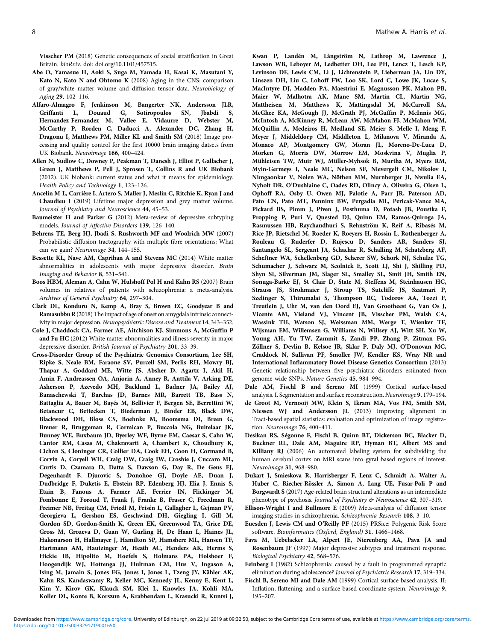<span id="page-8-0"></span>Visscher PM (2018) Genetic consequences of social stratification in Great Britain. bioRxiv. doi: doi.org/10.1101/457515.

- Abe O, Yamasue H, Aoki S, Suga M, Yamada H, Kasai K, Masutani Y, Kato N, Kato N and Ohtomo K (2008) Aging in the CNS: comparison of gray/white matter volume and diffusion tensor data. Neurobiology of Aging 29, 102–116.
- Alfaro-Almagro F, Jenkinson M, Bangerter NK, Andersson JLR, Griffanti L, Douaud G, Sotiropoulos SN, Jbabdi S, Hernandez-Fernandez M, Vallee E, Vidaurre D, Webster M, McCarthy P, Rorden C, Daducci A, Alexander DC, Zhang H, Dragonu I, Matthews PM, Miller KL and Smith SM (2018) Image processing and quality control for the first 10000 brain imaging datsets from UK Biobank. Neuroimage 166, 400–424.
- Allen N, Sudlow C, Downey P, Peakman T, Danesh J, Elliot P, Gallacher J, Green J, Matthews P, Pell J, Sprosen T, Collins R and UK Biobank (2012). UK biobank: current status and what it means for epidemiology. Health Policy and Technology 1, 123–126.
- Ancelin M-L, Carrière I, Artero S, Maller J, Meslin C, Ritchie K, Ryan J and Chaudieu I (2019) Lifetime major depression and grey matter volume. Journal of Psychiatry and Neuroscience 44, 45–53.
- Baumeister H and Parker G (2012) Meta-review of depressive subtyping models. Journal of Affective Disorders 139, 126–140.
- Behrens TE, Berg HJ, Jbadi S, Rushworth MF and Woolrich MW (2007) Probabilistic diffusion tractography with multiple fibre orientations: What can we gain? Neuroimage 34, 144–155.
- Bessette KL, Nave AM, Caprihan A and Stevens MC (2014) White matter abnormalities in adolescents with major depressive disorder. Brain Imaging and Behavior 8, 531–541.
- Boos HBM, Aleman A, Cahn W, Hulshoff Pol H and Kahn RS (2007) Brain volumes in relatives of patients with schizophrenia: a meta-analysis. Archives of General Psychiatry 64, 297–304.
- Clark DL, Konduru N, Kemp A, Bray S, Brown EC, Goodyear B and Ramasubbu R(2018) The impact of age of onset on amygdala intrinsic connectivity in major depression. Neuropsychiatric Disease and Treatment 14, 343–352.
- Cole J, Chaddock CA, Farmer AE, Aitchison KJ, Simmons A, McGuffin P and Fu HC (2012) White matter abnormalities and illness severity in major depressive disorder. British Journal of Psychiatry 201, 33–39.
- Cross-Disorder Group of the Psychiatric Genomics Consortium, Lee SH, Ripke S, Neale BM, Faraone SV, Purcell SM, Perlis RH, Mowry BJ, Thapar A, Goddard ME, Witte JS, Absher D, Agartz I, Akil H, Amin F, Andreassen OA, Anjorin A, Anney R, Anttila V, Arking DE, Asherson P, Azevedo MH, Backlund L, Badner JA, Bailey AJ, Banaschewski T, Barchas JD, Barnes MR, Barrett TB, Bass N, Battaglia A, Bauer M, Bayés M, Bellivier F, Bergen SE, Berrettini W, Betancur C, Bettecken T, Biederman J, Binder EB, Black DW, Blackwood DH, Bloss CS, Boehnke M, Boomsma DI, Breen G, Breuer R, Bruggeman R, Cormican P, Buccola NG, Buitelaar JK, Bunney WE, Buxbaum JD, Byerley WF, Byrne EM, Caesar S, Cahn W, Cantor RM, Casas M, Chakravarti A, Chambert K, Choudhury K, Cichon S, Cloninger CR, Collier DA, Cook EH, Coon H, Cormand B, Corvin A, Coryell WH, Craig DW, Craig IW, Crosbie J, Cuccaro ML, Curtis D, Czamara D, Datta S, Dawson G, Day R, De Geus EJ, Degenhardt F, Djurovic S, Donohoe GJ, Doyle AE, Duan J, Dudbridge F, Duketis E, Ebstein RP, Edenberg HJ, Elia J, Ennis S, Etain B, Fanous A, Farmer AE, Ferrier IN, Flickinger M, Fombonne E, Foroud T, Frank J, Franke B, Fraser C, Freedman R, Freimer NB, Freitag CM, Friedl M, Frisén L, Gallagher L, Gejman PV, Georgieva L, Gershon ES, Geschwind DH, Giegling I, Gill M, Gordon SD, Gordon-Smith K, Green EK, Greenwood TA, Grice DE, Gross M, Grozeva D, Guan W, Gurling H, De Haan L, Haines JL, Hakonarson H, Hallmayer J, Hamilton SP, Hamshere ML, Hansen TF, Hartmann AM, Hautzinger M, Heath AC, Henders AK, Herms S, Hickie IB, Hipolito M, Hoefels S, Holmans PA, Holsboer F, Hoogendijk WJ, Hottenga JJ, Hultman CM, Hus V, Ingason A, Ising M, Jamain S, Jones EG, Jones I, Jones L, Tzeng JY, Kähler AK, Kahn RS, Kandaswamy R, Keller MC, Kennedy JL, Kenny E, Kent L, Kim Y, Kirov GK, Klauck SM, Klei L, Knowles JA, Kohli MA, Koller DL, Konte B, Korszun A, Krabbendam L, Krasucki R, Kuntsi J,

Kwan P, Landén M, Långström N, Lathrop M, Lawrence J, Lawson WB, Leboyer M, Ledbetter DH, Lee PH, Lencz T, Lesch KP, Levinson DF, Lewis CM, Li J, Lichtenstein P, Lieberman JA, Lin DY, Linszen DH, Liu C, Lohoff FW, Loo SK, Lord C, Lowe JK, Lucae S, MacIntyre DJ, Madden PA, Maestrini E, Magnusson PK, Mahon PB, Maier W, Malhotra AK, Mane SM, Martin CL, Martin NG, Mattheisen M, Matthews K, Mattingsdal M, McCarroll SA, McGhee KA, McGough JJ, McGrath PJ, McGuffin P, McInnis MG, McIntosh A, McKinney R, McLean AW, McMahon FJ, McMahon WM, McQuillin A, Medeiros H, Medland SE, Meier S, Melle I, Meng F, Meyer J, Middeldorp CM, Middleton L, Milanova V, Miranda A, Monaco AP, Montgomery GW, Moran JL, Moreno-De-Luca D, Morken G, Morris DW, Morrow EM, Moskvina V, Muglia P, Mühleisen TW, Muir WJ, Müller-Myhsok B, Murtha M, Myers RM, Myin-Germeys I, Neale MC, Nelson SF, Nievergelt CM, Nikolov I, Nimgaonkar V, Nolen WA, Nöthen MM, Nurnberger JI, Nwulia EA, Nyholt DR, O'Dushlaine C, Oades RD, Olincy A, Oliveira G, Olsen L, Ophoff RA, Osby U, Owen MJ, Palotie A, Parr JR, Paterson AD, Pato CN, Pato MT, Penninx BW, Pergadia ML, Pericak-Vance MA, Pickard BS, Pimm J, Piven J, Posthuma D, Potash JB, Poustka F, Propping P, Puri V, Quested DJ, Quinn EM, Ramos-Quiroga JA, Rasmussen HB, Raychaudhuri S, Rehnström K, Reif A, Ribasés M, Rice JP, Rietschel M, Roeder K, Roeyers H, Rossin L, Rothenberger A, Rouleau G, Ruderfer D, Rujescu D, Sanders AR, Sanders SJ, Santangelo SL, Sergeant JA, Schachar R, Schalling M, Schatzberg AF, Scheftner WA, Schellenberg GD, Scherer SW, Schork NJ, Schulze TG, Schumacher J, Schwarz M, Scolnick E, Scott LJ, Shi J, Shilling PD, Shyn SI, Silverman JM, Slager SL, Smalley SL, Smit JH, Smith EN, Sonuga-Barke EJ, St Clair D, State M, Steffens M, Steinhausen HC, Strauss JS, Strohmaier J, Stroup TS, Sutcliffe JS, Szatmari P, Szelinger S, Thirumalai S, Thompson RC, Todorov AA, Tozzi F, Treutlein J, Uhr M, van den Oord EJ, Van Grootheest G, Van Os J, Vicente AM, Vieland VJ, Vincent JB, Visscher PM, Walsh CA, Wassink TH, Watson SJ, Weissman MM, Werge T, Wienker TF, Wijsman EM, Willemsen G, Williams N, Willsey AJ, Witt SH, Xu W, Young AH, Yu TW, Zammit S, Zandi PP, Zhang P, Zitman FG, Zöllner S, Devlin B, Kelsoe JR, Sklar P, Daly MJ, O'Donovan MC, Craddock N, Sullivan PF, Smoller JW, Kendler KS, Wray NR and International Inflammatory Bowel Disease Genetics Consortium (2013) Genetic relationship between five psychiatric disorders estimated from genome-wide SNPs. Nature Genetics 45, 984–994.

- Dale AM, Fischl B and Sereno MI (1999) Cortical surface-based analysis. I. Segmentation and surface reconstruction. Neuroimage 9, 179–194.
- de Groot M, Vernooij MW, Klein S, Ikram MA, Vos FM, Smith SM, Niessen WJ and Andersson JL (2013) Improving alignment in Tract-based spatial statistics: evaluation and optimization of image registration. Neuroimage 76, 400–411.
- Desikan RS, Ségonne F, Fischl B, Quinn BT, Dickerson BC, Blacker D, Buckner RL, Dale AM, Maguire RP, Hyman BT, Albert MS and Killiany RJ (2006) An automated labeling system for subdividing the human cerebral cortex on MRI scans into gyral based regions of interest. Neuroimage 31, 968–980.
- Dukart J, Smieskova R, Harrisberger F, Lenz C, Schmidt A, Walter A, Huber C, Riecher-Rössler A, Simon A, Lang UE, Fusar-Poli P and Borgwardt S (2017) Age-related brain structural alterations as an intermediate phenotype of psychosis. Journal of Psychiatry & Neuroscience 42, 307-319.
- Ellison-Wright I and Bullmore E (2009) Meta-analysis of diffusion tensor imaging studies in schizophrenia. Schizophrenia Research 108, 3–10.
- Euesden J, Lewis CM and O'Reilly PF (2015) PRSice: Polygenic Risk Score software. Bioinformatics (Oxford, England) 31, 1466–1468.
- Fava M, Uebelacker LA, Alpert JE, Nierenberg AA, Pava JA and Rosenbaum JF (1997) Major depressive subtypes and treatment response. Biological Psychiatry 42, 568–576.
- Feinberg I (1982) Schizophrenia: caused by a fault in programmed synaptic elimination during adolescence? Journal of Psychiatric Research 17, 319–334.
- Fischl B, Sereno MI and Dale AM (1999) Cortical surface-based analysis. II: Inflation, flattening, and a surface-based coordinate system. Neuroimage 9, 195–207.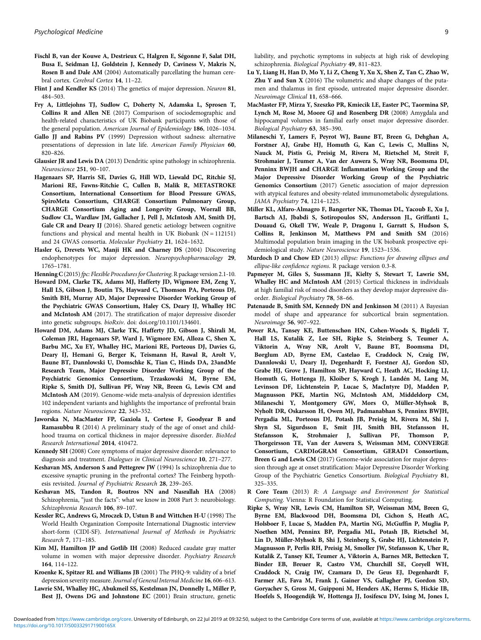- <span id="page-9-0"></span>Fischl B, van der Kouwe A, Destrieux C, Halgren E, Ségonne F, Salat DH, Busa E, Seidman LJ, Goldstein J, Kennedy D, Caviness V, Makris N, Rosen B and Dale AM (2004) Automatically parcellating the human cerebral cortex. Cerebral Cortex 14, 11–22.
- Flint J and Kendler KS (2014) The genetics of major depression. Neuron 81, 484–503.
- Fry A, Littlejohns TJ, Sudlow C, Doherty N, Adamska L, Sprosen T, Collins R and Allen NE (2017) Comparison of sociodemographic and health-related characteristics of UK Biobank participants with those of the general population. American Journal of Epidemiology 186, 1026–1034.
- Gallo JJ and Rabins PV (1999) Depression without sadness: alternative presentations of depression in late life. American Family Physician 60, 820–826.
- Glausier JR and Lewis DA (2013) Dendritic spine pathology in schizophrenia. Neuroscience 251, 90–107.
- Hagenaars SP, Harris SE, Davies G, Hill WD, Liewald DC, Ritchie SJ, Marioni RE, Fawns-Ritchie C, Cullen B, Malik R, METASTROKE Consortium, International Consortium for Blood Pressure GWAS, SpiroMeta Consortium, CHARGE Consortium Pulmonary Group, CHARGE Consortium Aging and Longevity Group, Worrall BB, Sudlow CL, Wardlaw JM, Gallacher J, Pell J, McIntosh AM, Smith DJ, Gale CR and Deary IJ (2016). Shared genetic aetiology between cognitive functions and physical and mental health in UK Biobank ( $N = 112151$ ) and 24 GWAS consortia. Molecular Psychiatry 21, 1624–1632.
- Hasler G, Drevets WC, Manji HK and Charney DS (2004) Discovering endophenotypes for major depression. Neuropsychopharmacology 29, 1765–1781.
- Henning C(2015) fpc: Flexible Procedures for Clustering. R package version 2.1-10.
- Howard DM, Clarke TK, Adams MJ, Hafferty JD, Wigmore EM, Zeng Y, Hall LS, Gibson J, Boutin TS, Hayward C, Thomson PA, Porteous DJ, Smith BH, Murray AD, Major Depressive Disorder Working Group of the Psychiatric GWAS Consortium, Haley CS, Deary IJ, Whalley HC and McIntosh AM (2017). The stratification of major depressive disorder into genetic subgroups. bioRxiv. doi: doi.org/10.1101/134601.
- Howard DM, Adams MJ, Clarke TK, Hafferty JD, Gibson J, Shirali M, Coleman JRI, Hagenaars SP, Ward J, Wigmore EM, Alloza C, Shen X, Barbu MC, Xu EY, Whalley HC, Marioni RE, Porteous DJ, Davies G, Deary IJ, Hemani G, Berger K, Teismann H, Rawal R, Arolt V, Baune BT, Dannlowski U, Domschke K, Tian C, Hinds DA, 23andMe Research Team, Major Depressive Disorder Working Group of the Psychiatric Genomics Consortium, Trzaskowski M, Byrne EM, Ripke S, Smith DJ, Sullivan PF, Wray NR, Breen G, Lewis CM and McIntosh AM (2019). Genome-wide meta-analysis of depression identifies 102 independent variants and highlights the importance of prefrontal brain regions. Nature Neuroscience 22, 343–352.
- Jaworska N, MacMaster FP, Gaxiola I, Cortese F, Goodyear B and Ramasubbu R (2014) A preliminary study of the age of onset and childhood trauma on cortical thickness in major depressive disorder. BioMed Research International 2014, 410472.
- Kennedy SH (2008) Core symptoms of major depressive disorder: relevance to diagnosis and treatment. Dialogues in Clinical Neuroscience 10, 271–277.
- Keshavan MS, Anderson S and Pettegrew JW (1994) Is schizophrenia due to excessive synaptic pruning in the prefrontal cortex? The Feinberg hypothesis revisited. Journal of Psychiatric Research 28, 239–265.
- Keshavan MS, Tandon R, Boutros NN and Nasrallah HA (2008) Schizophrenia, "just the facts": what we know in 2008 Part 3: neurobiology. Schizophrenia Research 106, 89–107.
- Kessler RC, Andrews G, Mroczek D, Ustun B and Wittchen H-U (1998) The World Health Organization Composite International Diagnostic interview short-form (CIDI-SF). International Journal of Methods in Psychiatric Research 7, 171–185.
- Kim MJ, Hamilton JP and Gotlib IH (2008) Reduced caudate gray matter volume in women with major depressive disorder. Psychiatry Research 164, 114–122.
- Kroenke K, Spitzer RL and Williams JB (2001) The PHQ-9: validity of a brief depression severity measure. Journal of General Internal Medicine 16, 606–613. Lawrie SM, Whalley HC, Abukmeil SS, Kestelman JN, Donnelly L, Miller P,
- Best JJ, Owens DG and Johnstone EC (2001) Brain structure, genetic

liability, and psychotic symptoms in subjects at high risk of developing schizophrenia. Biological Psychiatry 49, 811–823.

- Lu Y, Liang H, Han D, Mo Y, Li Z, Cheng Y, Xu X, Shen Z, Tan C, Zhao W, Zhu Y and Sun X (2016) The volumetric and shape changes of the putamen and thalamus in first episode, untreated major depressive disorder. Neuroimage Clinical 11, 658–666.
- MacMaster FP, Mirza Y, Szeszko PR, Kmiecik LE, Easter PC, Taormina SP, Lynch M, Rose M, Moore GJ and Rosenberg DR (2008) Amygdala and hippocampal volumes in familial early onset major depressive disorder. Biological Psychiatry 63, 385–390.
- Milaneschi Y, Lamers F, Peyrot WJ, Baune BT, Breen G, Dehghan A, Forstner AJ, Grabe HJ, Homuth G, Kan C, Lewis C, Mullins N, Nauck M, Pistis G, Preisig M, Rivera M, Rietschel M, Streit F, Strohmaier J, Teumer A, Van der Auwera S, Wray NR, Boomsma DI, Penninx BWJH and CHARGE Inflammation Working Group and the Major Depressive Disorder Working Group of the Psychiatric Genomics Consortium (2017) Genetic association of major depression with atypical features and obesity-related immunometabolic dysregulations. JAMA Psychiatry 74, 1214–1225.
- Miller KL, Alfaro-Almagro F, Bangerter NK, Thomas DL, Yacoub E, Xu J, Bartsch AJ, Jbabdi S, Sotiropoulos SN, Andersson JL, Griffanti L, Douaud G, Okell TW, Weale P, Dragonu I, Garratt S, Hudson S, Collins R, Jenkinson M, Matthews PM and Smith SM (2016) Multimodal population brain imaging in the UK biobank prospective epidemiological study. Nature Neuroscience 19, 1523–1536.
- Murdoch D and Chow ED (2013) ellipse: Functions for drawing ellipses and ellipse-like confidence regions. R package version 0.3-8.
- Papmeyer M, Giles S, Sussmann JE, Kielty S, Stewart T, Lawrie SM, Whalley HC and McIntosh AM (2015) Cortical thickness in individuals at high familial risk of mood disorders as they develop major depressive disorder. Biological Psychiatry 78, 58–66.
- Patenaude B, Smith SM, Kennedy DN and Jenkinson M (2011) A Bayesian model of shape and appearance for subcortical brain segmentation. Neuroimage 56, 907–922.
- Power RA, Tansey KE, Buttenschøn HN, Cohen-Woods S, Bigdeli T, Hall LS, Kutalik Z, Lee SH, Ripke S, Steinberg S, Teumer A, Viktorin A, Wray NR, Arolt V, Baune BT, Boomsma DI, Børglum AD, Byrne EM, Castelao E, Craddock N, Craig IW, Dannlowski U, Deary IJ, Degenhardt F, Forstner AJ, Gordon SD, Grabe HJ, Grove J, Hamilton SP, Hayward C, Heath AC, Hocking LJ, Homuth G, Hottenga JJ, Kloiber S, Krogh J, Landén M, Lang M, Levinson DF, Lichtenstein P, Lucae S, MacIntyre DJ, Madden P, Magnusson PKE, Martin NG, McIntosh AM, Middeldorp CM, Milaneschi Y, Montgomery GW, Mors O, Müller-Myhsok B, Nyholt DR, Oskarsson H, Owen MJ, Padmanabhan S, Penninx BWJH, Pergadia ML, Porteous DJ, Potash JB, Preisig M, Rivera M, Shi J, Shyn SI, Sigurdsson E, Smit JH, Smith BH, Stefansson H, Stefansson K, Strohmaier J, Sullivan PF, Thomson P, Thorgeirsson TE, Van der Auwera S, Weissman MM, CONVERGE Consortium, CARDIoGRAM Consortium, GERAD1 Consortium, Breen G and Lewis CM (2017) Genome-wide association for major depression through age at onset stratification: Major Depressive Disorder Working Group of the Psychiatric Genetics Consortium. Biological Psychiatry 81, 325–335.
- R Core Team (2013) R: A Language and Environment for Statistical Computing. Vienna: R Foundation for Statistical Computing.
- Ripke S, Wray NR, Lewis CM, Hamilton SP, Weissman MM, Breen G, Byrne EM, Blackwood DH, Boomsma DI, Cichon S, Heath AC, Holsboer F, Lucae S, Madden PA, Martin NG, McGuffin P, Muglia P, Noethen MM, Penninx BP, Pergadia ML, Potash JB, Rietschel M, Lin D, Müller-Myhsok B, Shi J, Steinberg S, Grabe HJ, Lichtenstein P, Magnusson P, Perlis RH, Preisig M, Smoller JW, Stefansson K, Uher R, Kutalik Z, Tansey KE, Teumer A, Viktorin A, Barnes MR, Bettecken T, Binder EB, Breuer R, Castro VM, Churchill SE, Coryell WH, Craddock N, Craig IW, Czamara D, De Geus EJ, Degenhardt F, Farmer AE, Fava M, Frank J, Gainer VS, Gallagher PJ, Gordon SD, Goryachev S, Gross M, Guipponi M, Henders AK, Herms S, Hickie IB, Hoefels S, Hoogendijk W, Hottenga JJ, Iosifescu DV, Ising M, Jones I,